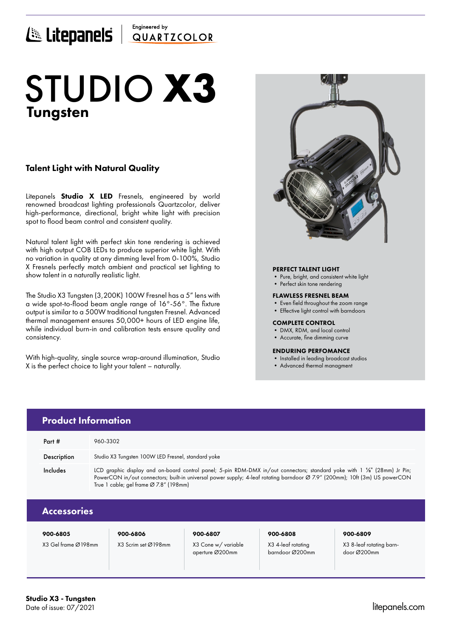## Engineered by E Litepanels QUARTICOLOR

# Tungsten STUDIO **X3**

## Talent Light with Natural Quality

Litepanels **Studio X LED** Fresnels, engineered by world renowned broadcast lighting professionals Quartzcolor, deliver high-performance, directional, bright white light with precision spot to flood beam control and consistent quality.

Natural talent light with perfect skin tone rendering is achieved with high output COB LEDs to produce superior white light. With no variation in quality at any dimming level from 0-100%, Studio X Fresnels perfectly match ambient and practical set lighting to show talent in a naturally realistic light.

The Studio X3 Tungsten (3,200K) 100W Fresnel has a 5" lens with a wide spot-to-flood beam angle range of 16°-56°. The fixture output is similar to a 500W traditional tungsten Fresnel. Advanced thermal management ensures 50,000+ hours of LED engine life, while individual burn-in and calibration tests ensure quality and consistency.

With high-quality, single source wrap-around illumination, Studio X is the perfect choice to light your talent – naturally.



## PERFECT TALENT LIGHT

- Pure, bright, and consistent white light
- Perfect skin tone rendering

#### FLAWLESS FRESNEL BEAM

- Even field throughout the zoom range
- Effective light control with barndoors

#### COMPLETE CONTROL

barndoor Ø200mm

- DMX, RDM, and local control
- Accurate, fine dimming curve

### ENDURING PERFOMANCE

- Installed in leading broadcast studios
- Advanced thermal managment

|                     | <b>Product Information</b>                                                                                                                                                                                                                                                                         |                     |                    |                          |  |  |
|---------------------|----------------------------------------------------------------------------------------------------------------------------------------------------------------------------------------------------------------------------------------------------------------------------------------------------|---------------------|--------------------|--------------------------|--|--|
| Part #              | 960-3302                                                                                                                                                                                                                                                                                           |                     |                    |                          |  |  |
| Description         | Studio X3 Tungsten 100W LED Fresnel, standard yoke                                                                                                                                                                                                                                                 |                     |                    |                          |  |  |
| Includes            | LCD graphic display and on-board control panel; 5-pin RDM-DMX in/out connectors; standard yoke with 1 1/6" (28mm) Jr Pin;<br>PowerCON in/out connectors; built-in universal power supply; 4-leaf rotating barndoor Ø 7.9" (200mm); 10ft (3m) US powerCON<br>True 1 cable; gel frame Ø 7.8" (198mm) |                     |                    |                          |  |  |
| <b>Accessories</b>  |                                                                                                                                                                                                                                                                                                    |                     |                    |                          |  |  |
| 900-6805            | 900-6806                                                                                                                                                                                                                                                                                           | 900-6807            | 900-6808           | 900-6809                 |  |  |
| X3 Gel frame Ø198mm | X3 Scrim set Ø198mm                                                                                                                                                                                                                                                                                | X3 Cone w/ variable | X3 4-leaf rotatina | X3 8-leaf rotating barn- |  |  |

aperture Ø200mm

door Ø200mm